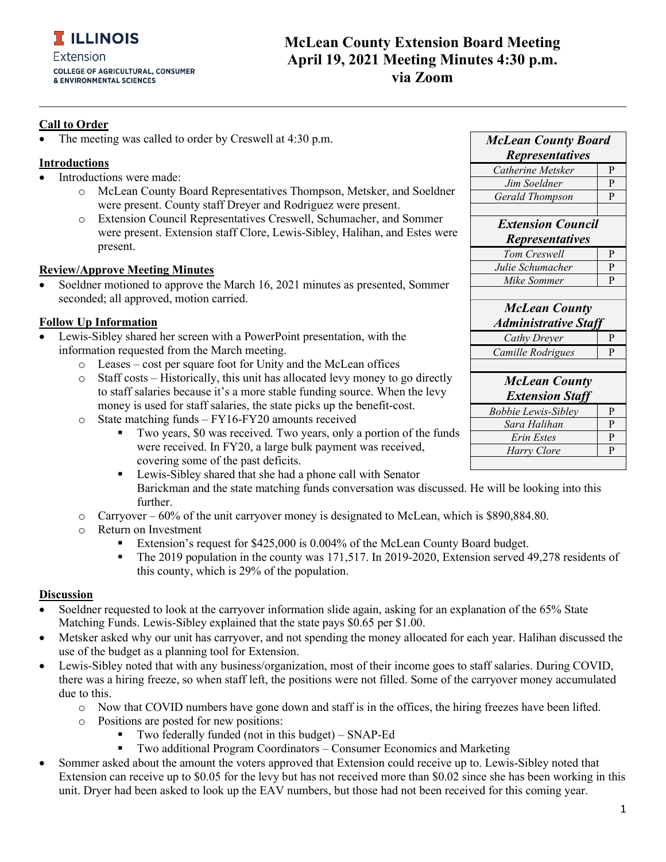## **McLean County Extension Board Meeting April 19, 2021 Meeting Minutes 4:30 p.m. via Zoom**

## **Call to Order**

The meeting was called to order by Creswell at 4:30 p.m.

### **Introductions**

- Introductions were made:
	- o McLean County Board Representatives Thompson, Metsker, and Soeldner were present. County staff Dreyer and Rodriguez were present.

**\_\_\_\_\_\_\_\_\_\_\_\_\_\_\_\_\_\_\_\_\_\_\_\_\_\_\_\_\_\_\_\_\_\_\_\_\_\_\_\_\_\_\_\_\_\_\_\_\_\_\_\_\_\_\_\_\_\_\_\_\_\_\_\_\_\_\_\_\_\_\_\_\_\_\_\_\_\_\_\_\_\_\_\_\_\_\_\_\_\_\_\_\_\_\_\_\_\_\_\_\_\_\_\_\_\_\_\_\_\_\_\_\_\_\_\_\_\_\_\_\_\_\_\_\_\_\_\_\_\_\_\_\_\_\_**

o Extension Council Representatives Creswell, Schumacher, and Sommer were present. Extension staff Clore, Lewis-Sibley, Halihan, and Estes were present.

#### **Review/Approve Meeting Minutes**

Soeldner motioned to approve the March 16, 2021 minutes as presented, Sommer seconded; all approved, motion carried.

### **Follow Up Information**

- Lewis-Sibley shared her screen with a PowerPoint presentation, with the information requested from the March meeting.
	- o Leases cost per square foot for Unity and the McLean offices
	- o Staff costs Historically, this unit has allocated levy money to go directly to staff salaries because it's a more stable funding source. When the levy money is used for staff salaries, the state picks up the benefit-cost.
	- o State matching funds FY16-FY20 amounts received
		- Two years, \$0 was received. Two years, only a portion of the funds were received. In FY20, a large bulk payment was received, covering some of the past deficits.
		- **EXECUTE:** Lewis-Sibley shared that she had a phone call with Senator Barickman and the state matching funds conversation was discussed. He will be looking into this further.
	- $\circ$  Carryover 60% of the unit carryover money is designated to McLean, which is \$890,884.80.
	- $\circ$  Return on Investment
		- Extension's request for \$425,000 is 0.004% of the McLean County Board budget.
		- The 2019 population in the county was 171,517. In 2019-2020, Extension served 49,278 residents of this county, which is 29% of the population.

#### **Discussion**

- Soeldner requested to look at the carryover information slide again, asking for an explanation of the 65% State Matching Funds. Lewis-Sibley explained that the state pays \$0.65 per \$1.00.
- Metsker asked why our unit has carryover, and not spending the money allocated for each year. Halihan discussed the use of the budget as a planning tool for Extension.
- Lewis-Sibley noted that with any business/organization, most of their income goes to staff salaries. During COVID, there was a hiring freeze, so when staff left, the positions were not filled. Some of the carryover money accumulated due to this.
	- o Now that COVID numbers have gone down and staff is in the offices, the hiring freezes have been lifted.
	- o Positions are posted for new positions:
		- Two federally funded (not in this budget) SNAP-Ed
		- Two additional Program Coordinators Consumer Economics and Marketing
- Sommer asked about the amount the voters approved that Extension could receive up to. Lewis-Sibley noted that Extension can receive up to \$0.05 for the levy but has not received more than \$0.02 since she has been working in this unit. Dryer had been asked to look up the EAV numbers, but those had not been received for this coming year.

| <b>McLean County Board</b>  |           |
|-----------------------------|-----------|
| <b>Representatives</b>      |           |
| Catherine Metsker           | P         |
| Jim Soeldner                | P         |
| Gerald Thompson             | P         |
|                             |           |
| <b>Extension Council</b>    |           |
| <i>Representatives</i>      |           |
| Tom Creswell                | P         |
| Julie Schumacher            | P         |
| Mike Sommer                 | P         |
|                             |           |
| <b>McLean County</b>        |           |
| <b>Administrative Staff</b> |           |
| Cathy Dreyer                | P         |
| Camille Rodrigues           | P         |
|                             |           |
| <b>McLean County</b>        |           |
| <b>Extension Staff</b>      |           |
| <b>Bobbie Lewis-Sibley</b>  | P         |
| Sara Halihan                | P         |
| Erin Estes                  | ${\bf P}$ |
| Harry Clore                 | P         |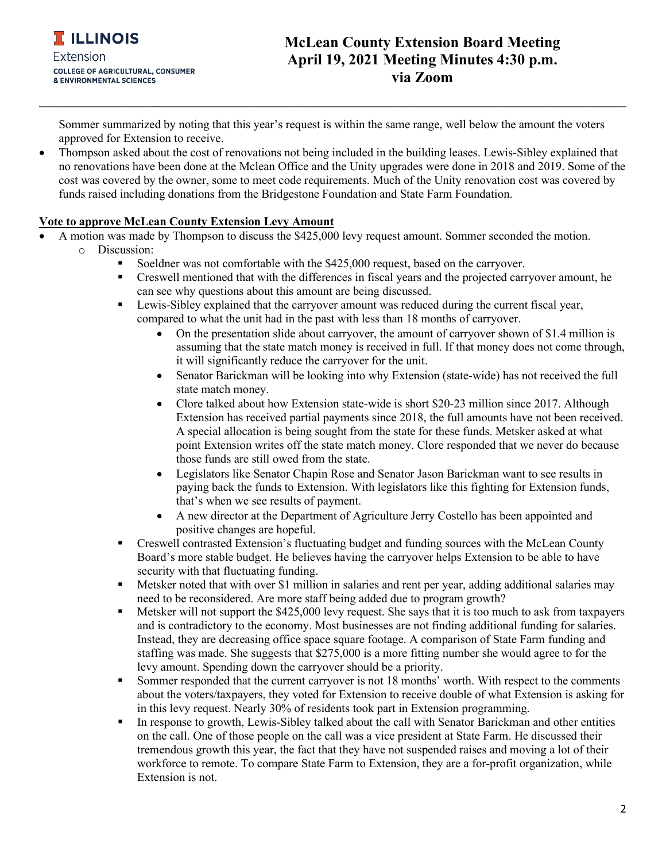# **McLean County Extension Board Meeting April 19, 2021 Meeting Minutes 4:30 p.m. via Zoom**

Sommer summarized by noting that this year's request is within the same range, well below the amount the voters approved for Extension to receive.

**\_\_\_\_\_\_\_\_\_\_\_\_\_\_\_\_\_\_\_\_\_\_\_\_\_\_\_\_\_\_\_\_\_\_\_\_\_\_\_\_\_\_\_\_\_\_\_\_\_\_\_\_\_\_\_\_\_\_\_\_\_\_\_\_\_\_\_\_\_\_\_\_\_\_\_\_\_\_\_\_\_\_\_\_\_\_\_\_\_\_\_\_\_\_\_\_\_\_\_\_\_\_\_\_\_\_\_\_\_\_\_\_\_\_\_\_\_\_\_\_\_\_\_\_\_\_\_\_\_\_\_\_\_\_\_**

• Thompson asked about the cost of renovations not being included in the building leases. Lewis-Sibley explained that no renovations have been done at the Mclean Office and the Unity upgrades were done in 2018 and 2019. Some of the cost was covered by the owner, some to meet code requirements. Much of the Unity renovation cost was covered by funds raised including donations from the Bridgestone Foundation and State Farm Foundation.

## **Vote to approve McLean County Extension Levy Amount**

- A motion was made by Thompson to discuss the \$425,000 levy request amount. Sommer seconded the motion. o Discussion:
	- Soeldner was not comfortable with the \$425,000 request, based on the carryover.
	- Creswell mentioned that with the differences in fiscal years and the projected carryover amount, he can see why questions about this amount are being discussed.
	- **EXECUTE:** Lewis-Sibley explained that the carryover amount was reduced during the current fiscal year, compared to what the unit had in the past with less than 18 months of carryover.
		- On the presentation slide about carryover, the amount of carryover shown of \$1.4 million is assuming that the state match money is received in full. If that money does not come through, it will significantly reduce the carryover for the unit.
		- Senator Barickman will be looking into why Extension (state-wide) has not received the full state match money.
		- Clore talked about how Extension state-wide is short \$20-23 million since 2017. Although Extension has received partial payments since 2018, the full amounts have not been received. A special allocation is being sought from the state for these funds. Metsker asked at what point Extension writes off the state match money. Clore responded that we never do because those funds are still owed from the state.
		- Legislators like Senator Chapin Rose and Senator Jason Barickman want to see results in paying back the funds to Extension. With legislators like this fighting for Extension funds, that's when we see results of payment.
		- A new director at the Department of Agriculture Jerry Costello has been appointed and positive changes are hopeful.
	- Creswell contrasted Extension's fluctuating budget and funding sources with the McLean County Board's more stable budget. He believes having the carryover helps Extension to be able to have security with that fluctuating funding.
	- **Metsker noted that with over \$1 million in salaries and rent per year, adding additional salaries may** need to be reconsidered. Are more staff being added due to program growth?
	- Metsker will not support the \$425,000 levy request. She says that it is too much to ask from taxpayers and is contradictory to the economy. Most businesses are not finding additional funding for salaries. Instead, they are decreasing office space square footage. A comparison of State Farm funding and staffing was made. She suggests that \$275,000 is a more fitting number she would agree to for the levy amount. Spending down the carryover should be a priority.
	- Sommer responded that the current carryover is not 18 months' worth. With respect to the comments about the voters/taxpayers, they voted for Extension to receive double of what Extension is asking for in this levy request. Nearly 30% of residents took part in Extension programming.
	- In response to growth, Lewis-Sibley talked about the call with Senator Barickman and other entities on the call. One of those people on the call was a vice president at State Farm. He discussed their tremendous growth this year, the fact that they have not suspended raises and moving a lot of their workforce to remote. To compare State Farm to Extension, they are a for-profit organization, while Extension is not.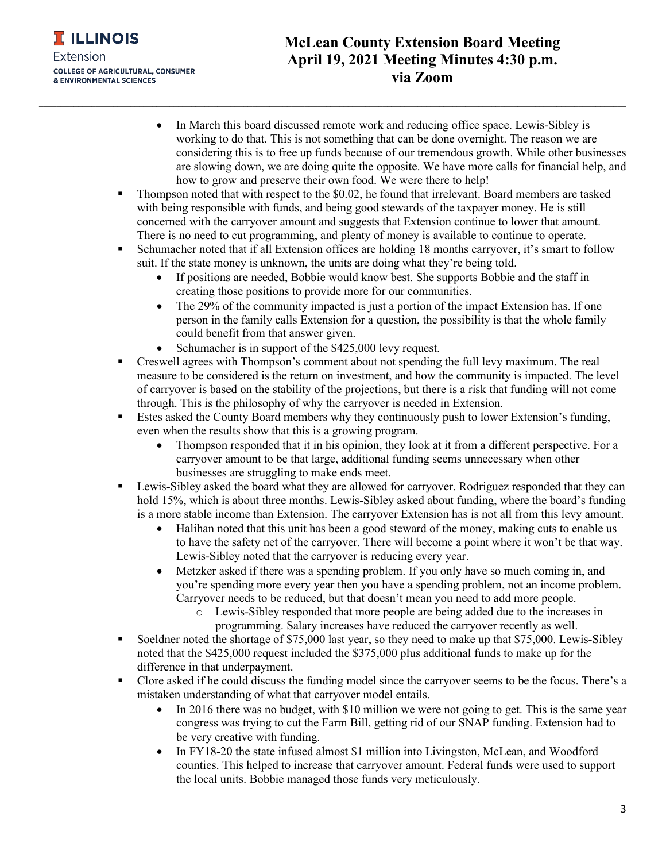

- In March this board discussed remote work and reducing office space. Lewis-Sibley is working to do that. This is not something that can be done overnight. The reason we are considering this is to free up funds because of our tremendous growth. While other businesses are slowing down, we are doing quite the opposite. We have more calls for financial help, and how to grow and preserve their own food. We were there to help!
- Thompson noted that with respect to the \$0.02, he found that irrelevant. Board members are tasked with being responsible with funds, and being good stewards of the taxpayer money. He is still concerned with the carryover amount and suggests that Extension continue to lower that amount. There is no need to cut programming, and plenty of money is available to continue to operate.

**\_\_\_\_\_\_\_\_\_\_\_\_\_\_\_\_\_\_\_\_\_\_\_\_\_\_\_\_\_\_\_\_\_\_\_\_\_\_\_\_\_\_\_\_\_\_\_\_\_\_\_\_\_\_\_\_\_\_\_\_\_\_\_\_\_\_\_\_\_\_\_\_\_\_\_\_\_\_\_\_\_\_\_\_\_\_\_\_\_\_\_\_\_\_\_\_\_\_\_\_\_\_\_\_\_\_\_\_\_\_\_\_\_\_\_\_\_\_\_\_\_\_\_\_\_\_\_\_\_\_\_\_\_\_\_**

- Schumacher noted that if all Extension offices are holding 18 months carryover, it's smart to follow suit. If the state money is unknown, the units are doing what they're being told.
	- If positions are needed, Bobbie would know best. She supports Bobbie and the staff in creating those positions to provide more for our communities.
	- The 29% of the community impacted is just a portion of the impact Extension has. If one person in the family calls Extension for a question, the possibility is that the whole family could benefit from that answer given.
	- Schumacher is in support of the \$425,000 levy request.
- Creswell agrees with Thompson's comment about not spending the full levy maximum. The real measure to be considered is the return on investment, and how the community is impacted. The level of carryover is based on the stability of the projections, but there is a risk that funding will not come through. This is the philosophy of why the carryover is needed in Extension.
- Estes asked the County Board members why they continuously push to lower Extension's funding, even when the results show that this is a growing program.
	- Thompson responded that it in his opinion, they look at it from a different perspective. For a carryover amount to be that large, additional funding seems unnecessary when other businesses are struggling to make ends meet.
- Lewis-Sibley asked the board what they are allowed for carryover. Rodriguez responded that they can hold 15%, which is about three months. Lewis-Sibley asked about funding, where the board's funding is a more stable income than Extension. The carryover Extension has is not all from this levy amount.
	- Halihan noted that this unit has been a good steward of the money, making cuts to enable us to have the safety net of the carryover. There will become a point where it won't be that way. Lewis-Sibley noted that the carryover is reducing every year.
	- Metzker asked if there was a spending problem. If you only have so much coming in, and you're spending more every year then you have a spending problem, not an income problem. Carryover needs to be reduced, but that doesn't mean you need to add more people.
		- o Lewis-Sibley responded that more people are being added due to the increases in programming. Salary increases have reduced the carryover recently as well.
- Soeldner noted the shortage of \$75,000 last year, so they need to make up that \$75,000. Lewis-Sibley noted that the \$425,000 request included the \$375,000 plus additional funds to make up for the difference in that underpayment.
- Clore asked if he could discuss the funding model since the carryover seems to be the focus. There's a mistaken understanding of what that carryover model entails.
	- In 2016 there was no budget, with \$10 million we were not going to get. This is the same year congress was trying to cut the Farm Bill, getting rid of our SNAP funding. Extension had to be very creative with funding.
	- In FY18-20 the state infused almost \$1 million into Livingston, McLean, and Woodford counties. This helped to increase that carryover amount. Federal funds were used to support the local units. Bobbie managed those funds very meticulously.